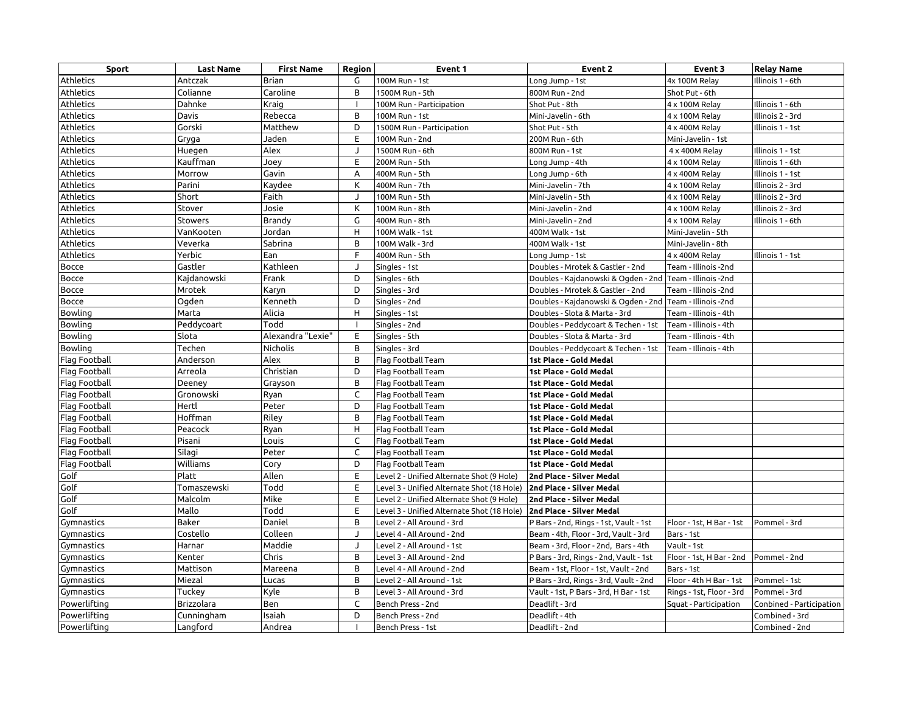| <b>Sport</b>     | <b>Last Name</b> | <b>First Name</b> | Region                   | Event 1                                    | Event 2                                                  | Event 3                  | <b>Relay Name</b>        |
|------------------|------------------|-------------------|--------------------------|--------------------------------------------|----------------------------------------------------------|--------------------------|--------------------------|
| <b>Athletics</b> | Antczak          | Brian             | G                        | 100M Run - 1st                             | Long Jump - 1st                                          | 4x 100M Relay            | Illinois 1 - 6th         |
| Athletics        | Colianne         | Caroline          | B                        | 1500M Run - 5th                            | 800M Run - 2nd                                           | Shot Put - 6th           |                          |
| <b>Athletics</b> | Dahnke           | Kraig             |                          | 100M Run - Participation                   | Shot Put - 8th                                           | 4 x 100M Relay           | llinois 1 - 6th          |
| Athletics        | Davis            | Rebecca           | B                        | 100M Run - 1st                             | Mini-Javelin - 6th                                       | 4 x 100M Relay           | llinois 2 - 3rd          |
| <b>Athletics</b> | Gorski           | Matthew           | D                        | 1500M Run - Participation                  | Shot Put - 5th                                           | 4 x 400M Relay           | llinois 1 - 1st          |
| Athletics        | Gryga            | Jaden             | E                        | 100M Run - 2nd                             | 200M Run - 6th                                           | Mini-Javelin - 1st       |                          |
| Athletics        | Huegen           | Alex              | J                        | 1500M Run - 6th                            | 800M Run - 1st                                           | 4 x 400M Relay           | llinois 1 - 1st          |
| Athletics        | Kauffman         | Joey              | E                        | 200M Run - 5th                             | Long Jump - 4th                                          | 4 x 100M Relay           | llinois 1 - 6th          |
| Athletics        | Morrow           | Gavin             | Α                        | 400M Run - 5th                             | Long Jump - 6th                                          | 4 x 400M Relay           | llinois 1 - 1st          |
| Athletics        | Parini           | Kaydee            | К                        | 400M Run - 7th                             | Mini-Javelin - 7th                                       | 4 x 100M Relay           | llinois 2 - 3rd          |
| Athletics        | Short            | Faith             | J                        | 100M Run - 5th                             | Mini-Javelin - 5th                                       | 4 x 100M Relay           | llinois 2 - 3rd          |
| Athletics        | Stover           | Josie             | К                        | 100M Run - 8th                             | Mini-Javelin - 2nd                                       | 4 x 100M Relay           | llinois 2 - 3rd          |
| Athletics        | Stowers          | Brandy            | G                        | 400M Run - 8th                             | Mini-Javelin - 2nd                                       | 4 x 100M Relay           | llinois 1 - 6th          |
| Athletics        | VanKooten        | Jordan            | H                        | 100M Walk - 1st                            | 400M Walk - 1st                                          | Mini-Javelin - 5th       |                          |
| Athletics        | Veverka          | Sabrina           | B                        | 100M Walk - 3rd                            | 400M Walk - 1st                                          | Mini-Javelin - 8th       |                          |
| Athletics        | Yerbic           | Ean               | F                        | 400M Run - 5th                             | Long Jump - 1st                                          | 4 x 400M Relay           | llinois 1 - 1st          |
| Bocce            | Gastler          | Kathleen          | J                        | Singles - 1st                              | Doubles - Mrotek & Gastler - 2nd                         | Team - Illinois -2nd     |                          |
| Bocce            | Kajdanowski      | Frank             | D                        | Singles - 6th                              | Doubles - Kajdanowski & Ogden - 2nd Team - Illinois -2nd |                          |                          |
| Bocce            | Mrotek           | Karyn             | D                        | Singles - 3rd                              | Doubles - Mrotek & Gastler - 2nd                         | Team - Illinois -2nd     |                          |
| Bocce            | Ogden            | Kenneth           | D                        | Singles - 2nd                              | Doubles - Kajdanowski & Ogden - 2nd Team - Illinois -2nd |                          |                          |
| Bowling          | Marta            | Alicia            | H                        | Singles - 1st                              | Doubles - Slota & Marta - 3rd                            | Team - Illinois - 4th    |                          |
| <b>Bowling</b>   | Peddycoart       | Todd              | $\overline{\phantom{a}}$ | Singles - 2nd                              | Doubles - Peddycoart & Techen - 1st                      | Team - Illinois - 4th    |                          |
| Bowling          | Slota            | Alexandra "Lexie" | Ε                        | Singles - 5th                              | Doubles - Slota & Marta - 3rd                            | Team - Illinois - 4th    |                          |
| <b>Bowling</b>   | Techen           | <b>Nicholis</b>   | B                        | Singles - 3rd                              | Doubles - Peddycoart & Techen - 1st                      | Team - Illinois - 4th    |                          |
| Flag Football    | Anderson         | Alex              | B                        | Flag Football Team                         | 1st Place - Gold Medal                                   |                          |                          |
| Flag Football    | Arreola          | Christian         | D                        | Flag Football Team                         | 1st Place - Gold Medal                                   |                          |                          |
| Flag Football    | Deeney           | Grayson           | B                        | Flag Football Team                         | 1st Place - Gold Medal                                   |                          |                          |
| Flag Football    | Gronowski        | Ryan              | C                        | Flag Football Team                         | 1st Place - Gold Medal                                   |                          |                          |
| Flag Football    | Hertl            | Peter             | D                        | Flag Football Team                         | 1st Place - Gold Medal                                   |                          |                          |
| Flag Football    | Hoffman          | Riley             | B                        | Flag Football Team                         | 1st Place - Gold Medal                                   |                          |                          |
| Flag Football    | Peacock          | Ryan              | H                        | Flag Football Team                         | 1st Place - Gold Medal                                   |                          |                          |
| Flag Football    | Pisani           | Louis             | C                        | Flag Football Team                         | 1st Place - Gold Medal                                   |                          |                          |
| Flag Football    | Silagi           | Peter             | C                        | Flag Football Team                         | 1st Place - Gold Medal                                   |                          |                          |
| Flag Football    | Williams         | Cory              | D                        | Flag Football Team                         | 1st Place - Gold Medal                                   |                          |                          |
| Golf             | Platt            | Allen             | E                        | Level 2 - Unified Alternate Shot (9 Hole)  | 2nd Place - Silver Medal                                 |                          |                          |
| Golf             | Tomaszewski      | Todd              | Ε                        | Level 3 - Unified Alternate Shot (18 Hole) | 2nd Place - Silver Medal                                 |                          |                          |
| Golf             | Malcolm          | Mike              | E                        | Level 2 - Unified Alternate Shot (9 Hole)  | 2nd Place - Silver Medal                                 |                          |                          |
| Golf             | Mallo            | Todd              | Ε                        | Level 3 - Unified Alternate Shot (18 Hole) | 2nd Place - Silver Medal                                 |                          |                          |
| Gymnastics       | Baker            | Daniel            | B                        | Level 2 - All Around - 3rd                 | P Bars - 2nd, Rings - 1st, Vault - 1st                   | Floor - 1st, H Bar - 1st | Pommel - 3rd             |
| Gymnastics       | Costello         | Colleen           | J                        | Level 4 - All Around - 2nd                 | Beam - 4th, Floor - 3rd, Vault - 3rd                     | Bars - 1st               |                          |
| Gymnastics       | Harnar           | Maddie            | J                        | Level 2 - All Around - 1st                 | Beam - 3rd, Floor - 2nd, Bars - 4th                      | Vault - 1st              |                          |
| Gymnastics       | Kenter           | Chris             | B                        | Level 3 - All Around - 2nd                 | P Bars - 3rd, Rings - 2nd, Vault - 1st                   | Floor - 1st, H Bar - 2nd | Pommel - 2nd             |
| Gymnastics       | Mattison         | Mareena           | B                        | Level 4 - All Around - 2nd                 | Beam - 1st, Floor - 1st, Vault - 2nd                     | Bars - 1st               |                          |
| Gymnastics       | Miezal           | Lucas             | B                        | Level 2 - All Around - 1st                 | P Bars - 3rd, Rings - 3rd, Vault - 2nd                   | Floor - 4th H Bar - 1st  | Pommel - 1st             |
| Gymnastics       | Tuckey           | Kyle              | B                        | Level 3 - All Around - 3rd                 | Vault - 1st, P Bars - 3rd, H Bar - 1st                   | Rings - 1st, Floor - 3rd | Pommel - 3rd             |
| Powerlifting     | Brizzolara       | Ben               | $\mathsf C$              | Bench Press - 2nd                          | Deadlift - 3rd                                           | Squat - Participation    | Conbined - Participation |
| Powerlifting     | Cunningham       | Isaiah            | D                        | Bench Press - 2nd                          | Deadlift - 4th                                           |                          | Combined - 3rd           |
| Powerlifting     | Langford         | Andrea            |                          | Bench Press - 1st                          | Deadlift - 2nd                                           |                          | Combined - 2nd           |